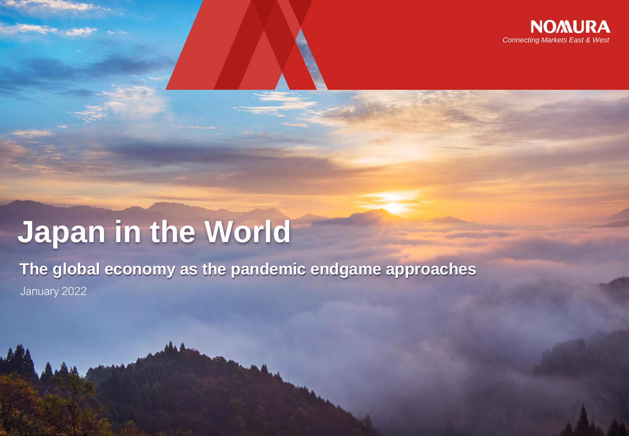

# **Japan in the World**

**The global economy as the pandemic endgame approaches** January 2022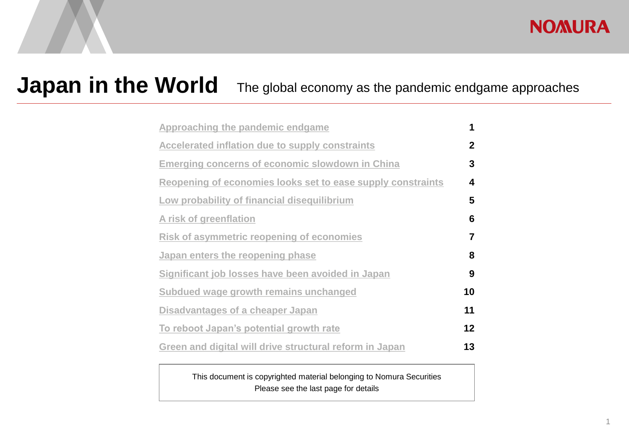#### **NOMURA**

### **Japan in the World** The global economy as the pandemic endgame approaches

| Approaching the pandemic endgame                            | 1               |
|-------------------------------------------------------------|-----------------|
| Accelerated inflation due to supply constraints             | $\mathbf{2}$    |
| <b>Emerging concerns of economic slowdown in China</b>      | 3               |
| Reopening of economies looks set to ease supply constraints | 4               |
| Low probability of financial disequilibrium                 | 5               |
| A risk of greenflation                                      | 6               |
| Risk of asymmetric reopening of economies                   | $\overline{7}$  |
| Japan enters the reopening phase                            | 8               |
| Significant job losses have been avoided in Japan           | 9               |
| Subdued wage growth remains unchanged                       | 10              |
| Disadvantages of a cheaper Japan                            | 11              |
| To reboot Japan's potential growth rate                     | 12 <sub>2</sub> |
| Green and digital will drive structural reform in Japan     | 13              |

This document is copyrighted material belonging to Nomura Securities Please see the last page for details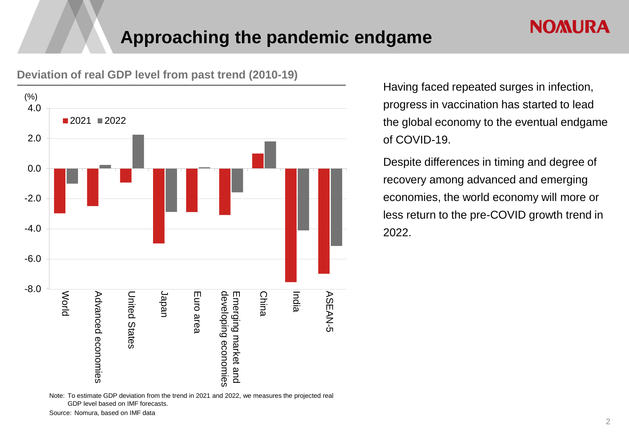#### **Approaching the pandemic endgame**



#### <span id="page-2-0"></span>**Deviation of real GDP level from past trend (2010-19)**

Note: To estimate GDP deviation from the trend in 2021 and 2022, we measures the projected real GDP level based on IMF forecasts.

Having faced repeated surges in infection, progress in vaccination has started to lead the global economy to the eventual endgame of COVID-19.

Despite differences in timing and degree of recovery among advanced and emerging economies, the world economy will more or less return to the pre-COVID growth trend in 2022.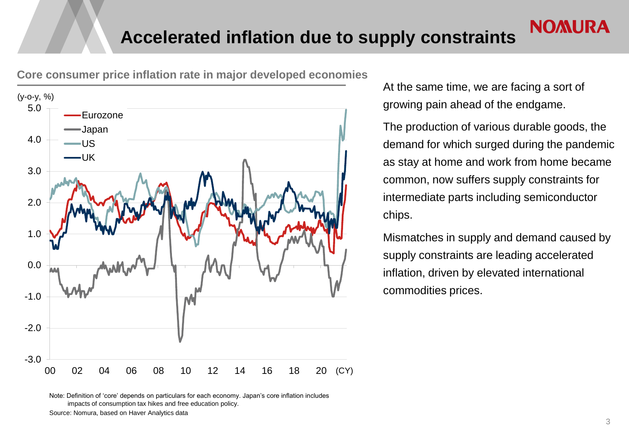

<span id="page-3-0"></span>**Core consumer price inflation rate in major developed economies**

At the same time, we are facing a sort of growing pain ahead of the endgame.

The production of various durable goods, the demand for which surged during the pandemic as stay at home and work from home became common, now suffers supply constraints for intermediate parts including semiconductor chips.

Mismatches in supply and demand caused by supply constraints are leading accelerated inflation, driven by elevated international commodities prices.

Note: Definition of 'core' depends on particulars for each economy. Japan's core inflation includes impacts of consumption tax hikes and free education policy.

Source: Nomura, based on Haver Analytics data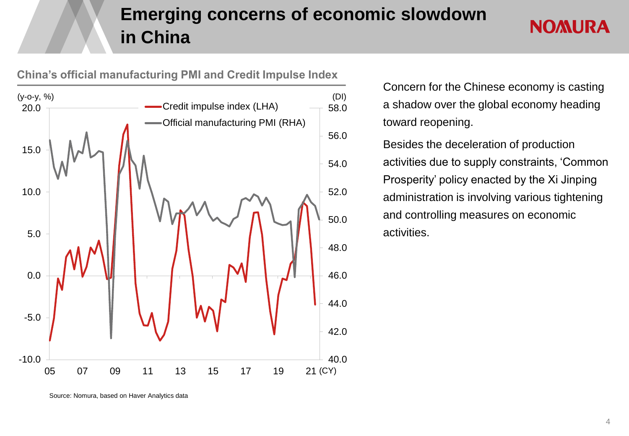### **Emerging concerns of economic slowdown in China**



<span id="page-4-0"></span>**China's official manufacturing PMI and Credit Impulse Index**

Concern for the Chinese economy is casting a shadow over the global economy heading toward reopening.

**NOMURA** 

Besides the deceleration of production activities due to supply constraints, 'Common Prosperity' policy enacted by the Xi Jinping administration is involving various tightening and controlling measures on economic activities.

Source: Nomura, based on Haver Analytics data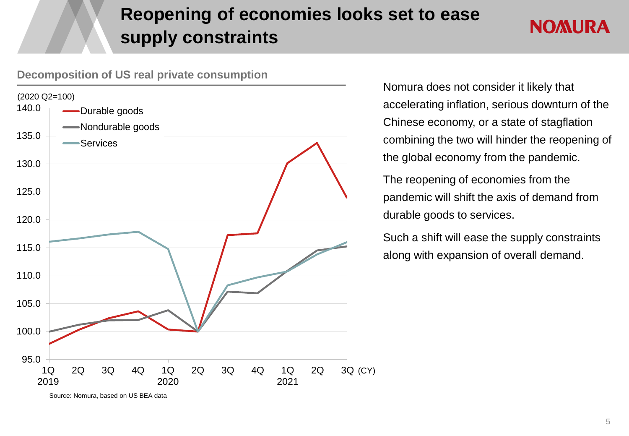### **Reopening of economies looks set to ease supply constraints**

### **NOMURA**

<span id="page-5-0"></span>



Nomura does not consider it likely that accelerating inflation, serious downturn of the Chinese economy, or a state of stagflation combining the two will hinder the reopening of the global economy from the pandemic.

The reopening of economies from the pandemic will shift the axis of demand from durable goods to services.

Such a shift will ease the supply constraints along with expansion of overall demand.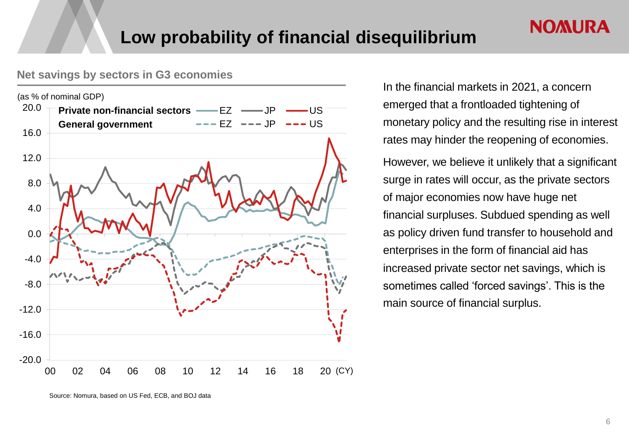#### <span id="page-6-0"></span>**Net savings by sectors in G3 economies**



In the financial markets in 2021, a concern emerged that a frontloaded tightening of monetary policy and the resulting rise in interest rates may hinder the reopening of economies. However, we believe it unlikely that a significant surge in rates will occur, as the private sectors of major economies now have huge net financial surpluses. Subdued spending as well as policy driven fund transfer to household and enterprises in the form of financial aid has

**NOMURA** 

increased private sector net savings, which is

sometimes called 'forced savings'. This is the

main source of financial surplus.

Source: Nomura, based on US Fed, ECB, and BOJ data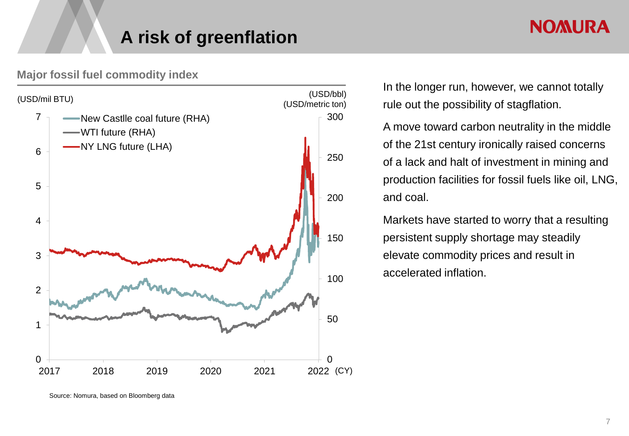#### **A risk of greenflation**

#### <span id="page-7-0"></span>**Major fossil fuel commodity index**



In the longer run, however, we cannot totally rule out the possibility of stagflation.

A move toward carbon neutrality in the middle of the 21st century ironically raised concerns of a lack and halt of investment in mining and production facilities for fossil fuels like oil, LNG, and coal.

Markets have started to worry that a resulting persistent supply shortage may steadily elevate commodity prices and result in accelerated inflation.

Source: Nomura, based on Bloomberg data

#### **NOMURA**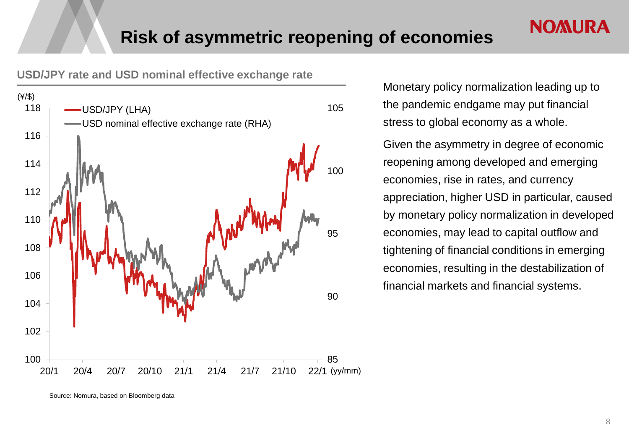<span id="page-8-0"></span>**USD/JPY rate and USD nominal effective exchange rate**



Monetary policy normalization leading up to the pandemic endgame may put financial stress to global economy as a whole.

**NOMURA** 

Given the asymmetry in degree of economic reopening among developed and emerging economies, rise in rates, and currency appreciation, higher USD in particular, caused by monetary policy normalization in developed economies, may lead to capital outflow and tightening of financial conditions in emerging economies, resulting in the destabilization of financial markets and financial systems.

Source: Nomura, based on Bloomberg data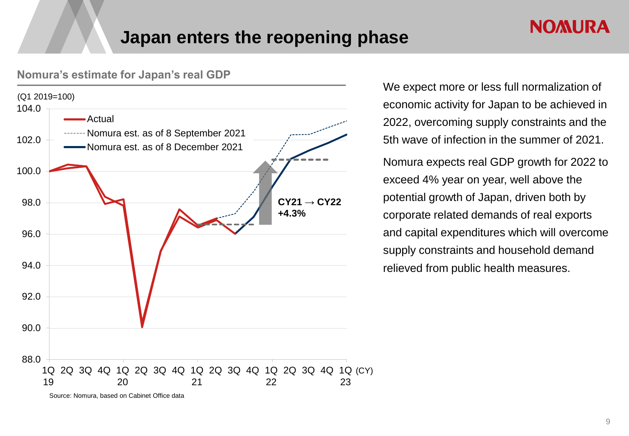#### **Japan enters the reopening phase**



<span id="page-9-0"></span>**Nomura's estimate for Japan's real GDP**

We expect more or less full normalization of economic activity for Japan to be achieved in 2022, overcoming supply constraints and the 5th wave of infection in the summer of 2021. Nomura expects real GDP growth for 2022 to exceed 4% year on year, well above the potential growth of Japan, driven both by corporate related demands of real exports and capital expenditures which will overcome supply constraints and household demand relieved from public health measures.

**NOMURA** 

Source: Nomura, based on Cabinet Office data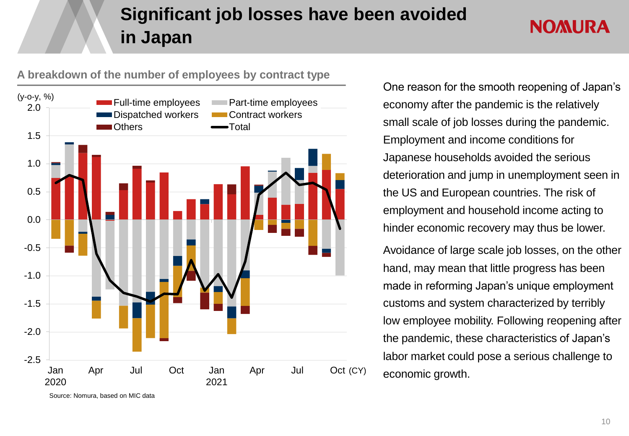### **Significant job losses have been avoided in Japan**

#### **NOMURA**

<span id="page-10-0"></span>



Source: Nomura, based on MIC data

One reason for the smooth reopening of Japan's economy after the pandemic is the relatively small scale of job losses during the pandemic. Employment and income conditions for Japanese households avoided the serious deterioration and jump in unemployment seen in the US and European countries. The risk of employment and household income acting to hinder economic recovery may thus be lower.

Avoidance of large scale job losses, on the other hand, may mean that little progress has been made in reforming Japan's unique employment customs and system characterized by terribly low employee mobility. Following reopening after the pandemic, these characteristics of Japan's labor market could pose a serious challenge to economic growth.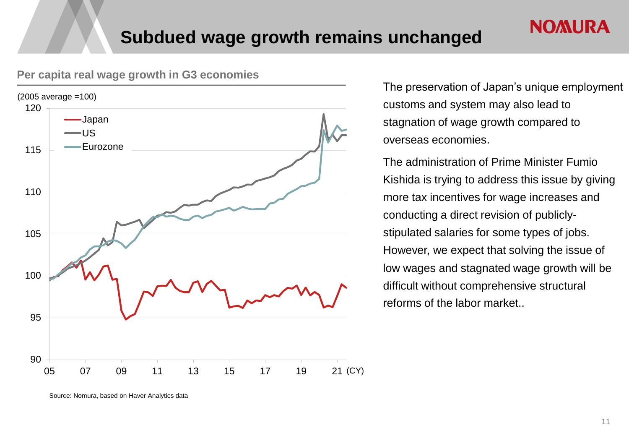

#### <span id="page-11-0"></span>**Per capita real wage growth in G3 economies**

The preservation of Japan's unique employment customs and system may also lead to stagnation of wage growth compared to overseas economies.

**NOMURA** 

The administration of Prime Minister Fumio Kishida is trying to address this issue by giving more tax incentives for wage increases and conducting a direct revision of publiclystipulated salaries for some types of jobs. However, we expect that solving the issue of low wages and stagnated wage growth will be difficult without comprehensive structural reforms of the labor market..

Source: Nomura, based on Haver Analytics data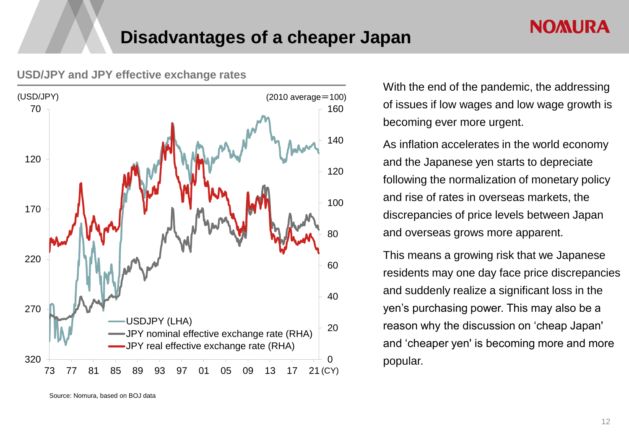

#### <span id="page-12-0"></span>**USD/JPY and JPY effective exchange rates**

With the end of the pandemic, the addressing of issues if low wages and low wage growth is becoming ever more urgent.

**NOMURA** 

As inflation accelerates in the world economy and the Japanese yen starts to depreciate following the normalization of monetary policy and rise of rates in overseas markets, the discrepancies of price levels between Japan and overseas grows more apparent.

This means a growing risk that we Japanese residents may one day face price discrepancies and suddenly realize a significant loss in the yen's purchasing power. This may also be a reason why the discussion on 'cheap Japan' and 'cheaper yen' is becoming more and more popular.

Source: Nomura, based on BOJ data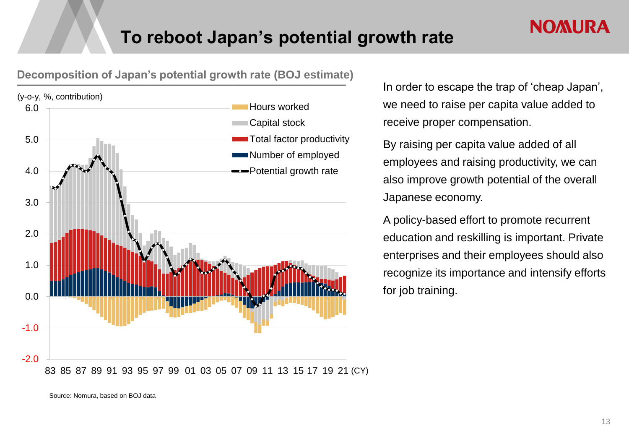

<span id="page-13-0"></span>**Decomposition of Japan's potential growth rate (BOJ estimate)**

In order to escape the trap of 'cheap Japan', we need to raise per capita value added to receive proper compensation.

**NOMURA** 

By raising per capita value added of all employees and raising productivity, we can also improve growth potential of the overall Japanese economy.

A policy-based effort to promote recurrent education and reskilling is important. Private enterprises and their employees should also recognize its importance and intensify efforts for job training.

<sup>83</sup> 85 87 89 91 93 95 97 99 01 03 05 07 09 11 13 15 17 19 21 (CY)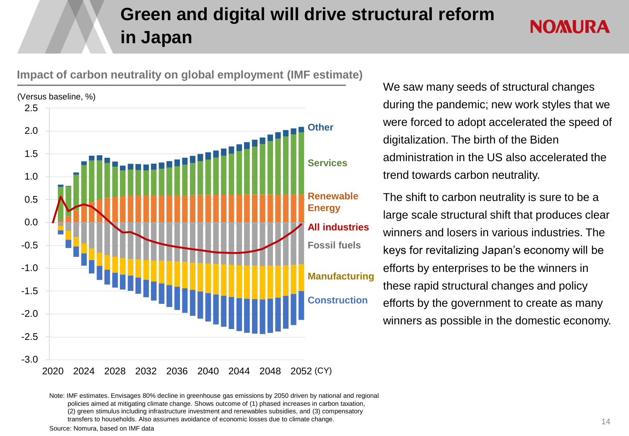### **Green and digital will drive structural reform in Japan**



<span id="page-14-0"></span>**Impact of carbon neutrality on global employment (IMF estimate)**

We saw many seeds of structural changes during the pandemic; new work styles that we were forced to adopt accelerated the speed of digitalization. The birth of the Biden administration in the US also accelerated the trend towards carbon neutrality.

**NOMURA** 

The shift to carbon neutrality is sure to be a large scale structural shift that produces clear winners and losers in various industries. The keys for revitalizing Japan's economy will be efforts by enterprises to be the winners in these rapid structural changes and policy efforts by the government to create as many winners as possible in the domestic economy.

Note: IMF estimates. Envisages 80% decline in greenhouse gas emissions by 2050 driven by national and regional policies aimed at mitigating climate change. Shows outcome of (1) phased increases in carbon taxation, (2) green stimulus including infrastructure investment and renewables subsidies, and (3) compensatory transfers to households. Also assumes avoidance of economic losses due to climate change.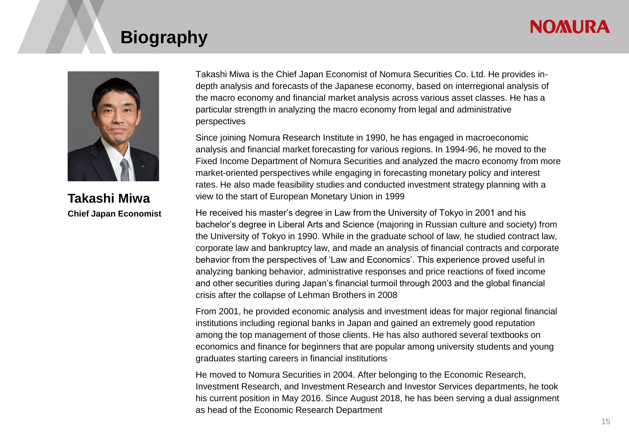#### **NOMURA**

#### **Biography**



**Takashi Miwa Chief Japan Economist**

Takashi Miwa is the Chief Japan Economist of Nomura Securities Co. Ltd. He provides indepth analysis and forecasts of the Japanese economy, based on interregional analysis of the macro economy and financial market analysis across various asset classes. He has a particular strength in analyzing the macro economy from legal and administrative perspectives

Since joining Nomura Research Institute in 1990, he has engaged in macroeconomic analysis and financial market forecasting for various regions. In 1994-96, he moved to the Fixed Income Department of Nomura Securities and analyzed the macro economy from more market-oriented perspectives while engaging in forecasting monetary policy and interest rates. He also made feasibility studies and conducted investment strategy planning with a view to the start of European Monetary Union in 1999

He received his master's degree in Law from the University of Tokyo in 2001 and his bachelor's degree in Liberal Arts and Science (majoring in Russian culture and society) from the University of Tokyo in 1990. While in the graduate school of law, he studied contract law, corporate law and bankruptcy law, and made an analysis of financial contracts and corporate behavior from the perspectives of 'Law and Economics'. This experience proved useful in analyzing banking behavior, administrative responses and price reactions of fixed income and other securities during Japan's financial turmoil through 2003 and the global financial crisis after the collapse of Lehman Brothers in 2008

From 2001, he provided economic analysis and investment ideas for major regional financial institutions including regional banks in Japan and gained an extremely good reputation among the top management of those clients. He has also authored several textbooks on economics and finance for beginners that are popular among university students and young graduates starting careers in financial institutions

He moved to Nomura Securities in 2004. After belonging to the Economic Research, Investment Research, and Investment Research and Investor Services departments, he took his current position in May 2016. Since August 2018, he has been serving a dual assignment as head of the Economic Research Department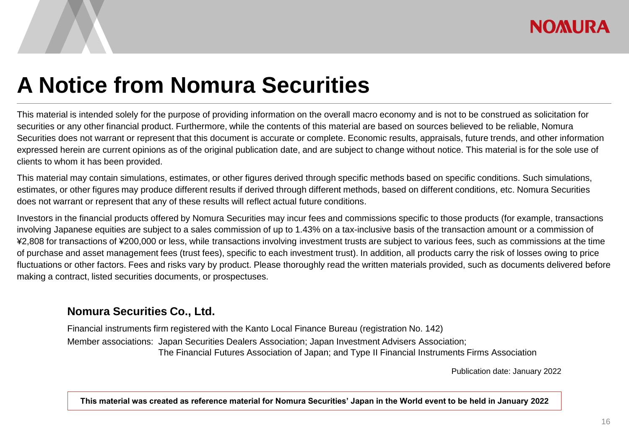## **A Notice from Nomura Securities**

This material is intended solely for the purpose of providing information on the overall macro economy and is not to be construed as solicitation for securities or any other financial product. Furthermore, while the contents of this material are based on sources believed to be reliable, Nomura Securities does not warrant or represent that this document is accurate or complete. Economic results, appraisals, future trends, and other information expressed herein are current opinions as of the original publication date, and are subject to change without notice. This material is for the sole use of clients to whom it has been provided.

This material may contain simulations, estimates, or other figures derived through specific methods based on specific conditions. Such simulations, estimates, or other figures may produce different results if derived through different methods, based on different conditions, etc. Nomura Securities does not warrant or represent that any of these results will reflect actual future conditions.

Investors in the financial products offered by Nomura Securities may incur fees and commissions specific to those products (for example, transactions involving Japanese equities are subject to a sales commission of up to 1.43% on a tax-inclusive basis of the transaction amount or a commission of ¥2,808 for transactions of ¥200,000 or less, while transactions involving investment trusts are subject to various fees, such as commissions at the time of purchase and asset management fees (trust fees), specific to each investment trust). In addition, all products carry the risk of losses owing to price fluctuations or other factors. Fees and risks vary by product. Please thoroughly read the written materials provided, such as documents delivered before making a contract, listed securities documents, or prospectuses.

#### **Nomura Securities Co., Ltd.**

Financial instruments firm registered with the Kanto Local Finance Bureau (registration No. 142) Member associations: Japan Securities Dealers Association; Japan Investment Advisers Association; The Financial Futures Association of Japan; and Type II Financial Instruments Firms Association

Publication date: January 2022

**This material was created as reference material for Nomura Securities' Japan in the World event to be held in January 2022**